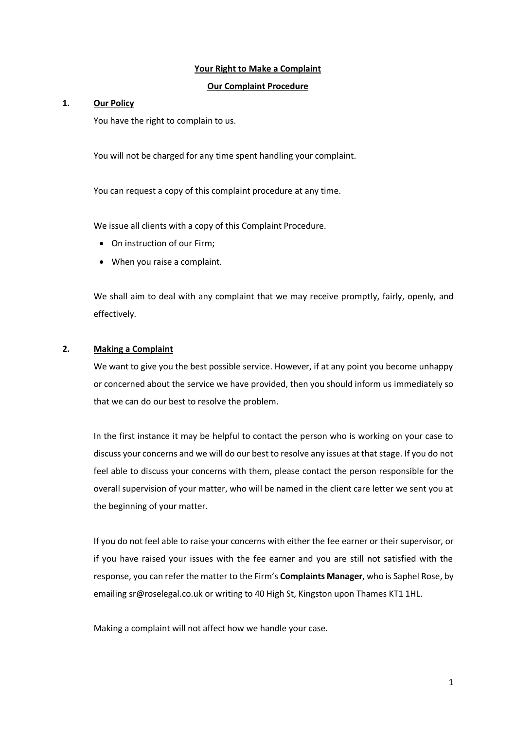## **Your Right to Make a Complaint**

## **Our Complaint Procedure**

#### **1. Our Policy**

You have the right to complain to us.

You will not be charged for any time spent handling your complaint.

You can request a copy of this complaint procedure at any time.

We issue all clients with a copy of this Complaint Procedure.

- On instruction of our Firm;
- When you raise a complaint.

We shall aim to deal with any complaint that we may receive promptly, fairly, openly, and effectively.

# **2. Making a Complaint**

We want to give you the best possible service. However, if at any point you become unhappy or concerned about the service we have provided, then you should inform us immediately so that we can do our best to resolve the problem.

In the first instance it may be helpful to contact the person who is working on your case to discuss your concerns and we will do our best to resolve any issues at that stage. If you do not feel able to discuss your concerns with them, please contact the person responsible for the overall supervision of your matter, who will be named in the client care letter we sent you at the beginning of your matter.

If you do not feel able to raise your concerns with either the fee earner or their supervisor, or if you have raised your issues with the fee earner and you are still not satisfied with the response, you can refer the matter to the Firm's **Complaints Manager**, who is Saphel Rose, by emailing sr@roselegal.co.uk or writing to 40 High St, Kingston upon Thames KT1 1HL.

Making a complaint will not affect how we handle your case.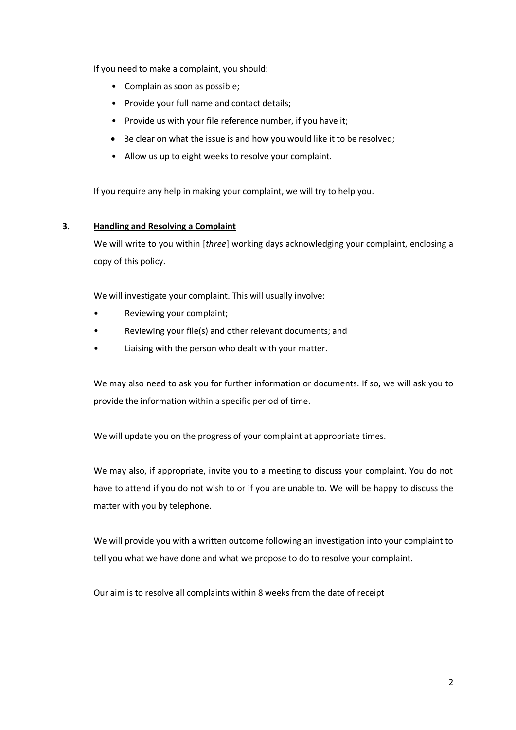If you need to make a complaint, you should:

- Complain as soon as possible;
- Provide your full name and contact details;
- Provide us with your file reference number, if you have it;
- Be clear on what the issue is and how you would like it to be resolved;
- Allow us up to eight weeks to resolve your complaint.

If you require any help in making your complaint, we will try to help you.

# **3. Handling and Resolving a Complaint**

We will write to you within [*three*] working days acknowledging your complaint, enclosing a copy of this policy.

We will investigate your complaint. This will usually involve:

- Reviewing your complaint;
- Reviewing your file(s) and other relevant documents; and
- Liaising with the person who dealt with your matter.

We may also need to ask you for further information or documents. If so, we will ask you to provide the information within a specific period of time.

We will update you on the progress of your complaint at appropriate times.

We may also, if appropriate, invite you to a meeting to discuss your complaint. You do not have to attend if you do not wish to or if you are unable to. We will be happy to discuss the matter with you by telephone.

We will provide you with a written outcome following an investigation into your complaint to tell you what we have done and what we propose to do to resolve your complaint.

Our aim is to resolve all complaints within 8 weeks from the date of receipt